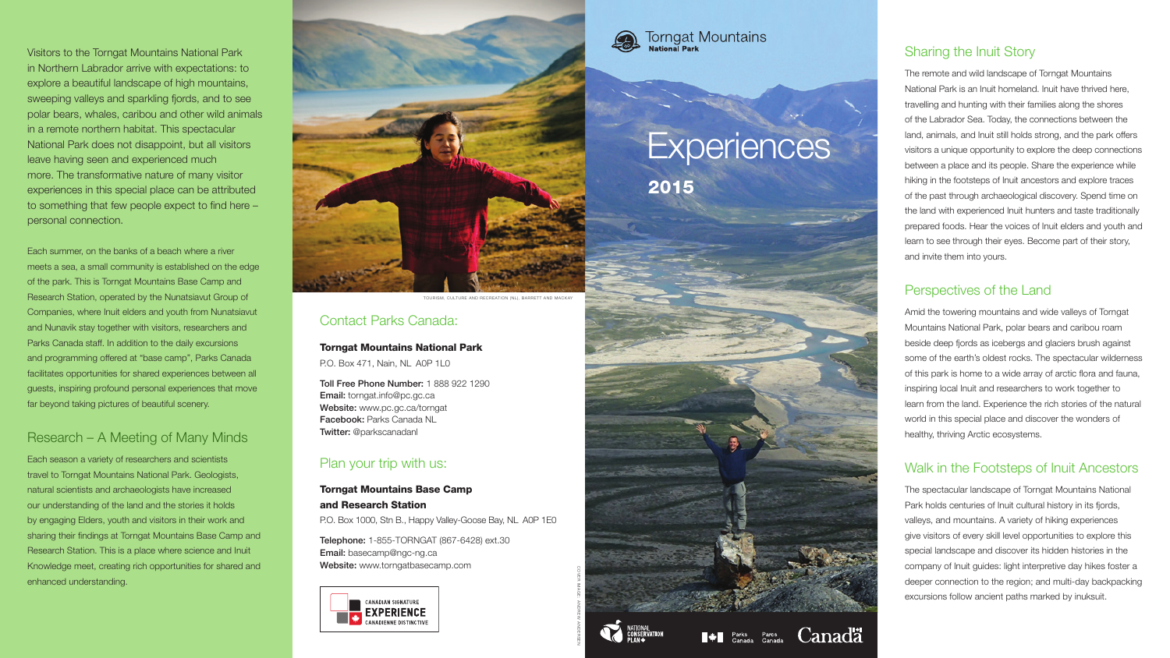2015



 $\blacksquare$  Parks Parcs



Canadä

## Sharing the Inuit Story

The remote and wild landscape of Torngat Mountains National Park is an Inuit homeland. Inuit have thrived here, travelling and hunting with their families along the shores of the Labrador Sea. Today, the connections between the land, animals, and Inuit still holds strong, and the park offers visitors a unique opportunity to explore the deep connections between a place and its people. Share the experience while hiking in the footsteps of Inuit ancestors and explore traces of the past through archaeological discovery. Spend time on the land with experienced Inuit hunters and taste traditionally prepared foods. Hear the voices of Inuit elders and youth and learn to see through their eyes. Become part of their story, and invite them into yours.

## Perspectives of the Land

Amid the towering mountains and wide valleys of Torngat Mountains National Park, polar bears and caribou roam beside deep fjords as icebergs and glaciers brush against some of the earth's oldest rocks. The spectacular wilderness of this park is home to a wide array of arctic flora and fauna, inspiring local Inuit and researchers to work together to learn from the land. Experience the rich stories of the natural world in this special place and discover the wonders of healthy, thriving Arctic ecosystems.

## Walk in the Footsteps of Inuit Ancestors

The spectacular landscape of Torngat Mountains National Park holds centuries of Inuit cultural history in its fjords, valleys, and mountains. A variety of hiking experiences give visitors of every skill level opportunities to explore this special landscape and discover its hidden histories in the company of Inuit guides: light interpretive day hikes foster a deeper connection to the region; and multi-day backpacking excursions follow ancient paths marked by inuksuit.

## Contact Parks Canada:

#### Torngat Mountains National Park

P.O. Box 471, Nain, NL A0P 1L0

Toll Free Phone Number: 1 888 922 1290 Email: torngat.info@pc.gc.ca Website: www.pc.gc.ca/torngat Facebook: Parks Canada NL Twitter: @parkscanadanl

## Plan your trip with us:

## Torngat Mountains Base Camp and Research Station

P.O. Box 1000, Stn B., Happy Valley-Goose Bay, NL A0P 1E0

Telephone: 1-855-TORNGAT (867-6428) ext.30 Email: basecamp@ngc-ng.ca Website: www.torngatbasecamp.com





## **Torngat Mountains**

# **Experiences**

Visitors to the Torngat Mountains National Park in Northern Labrador arrive with expectations: to explore a beautiful landscape of high mountains, sweeping valleys and sparkling fjords, and to see polar bears, whales, caribou and other wild animals in a remote northern habitat. This spectacular National Park does not disappoint, but all visitors leave having seen and experienced much more. The transformative nature of many visitor experiences in this special place can be attributed to something that few people expect to find here – personal connection.

Each summer, on the banks of a beach where a river meets a sea, a small community is established on the edge of the park. This is Torngat Mountains Base Camp and Research Station, operated by the Nunatsiavut Group of Companies, where Inuit elders and youth from Nunatsiavut and Nunavik stay together with visitors, researchers and Parks Canada staff. In addition to the daily excursions and programming offered at "base camp", Parks Canada facilitates opportunities for shared experiences between all guests, inspiring profound personal experiences that move far beyond taking pictures of beautiful scenery.

## Research – A Meeting of Many Minds

Each season a variety of researchers and scientists travel to Torngat Mountains National Park. Geologists, natural scientists and archaeologists have increased our understanding of the land and the stories it holds by engaging Elders, youth and visitors in their work and sharing their findings at Torngat Mountains Base Camp and Research Station. This is a place where science and Inuit Knowledge meet, creating rich opportunities for shared and enhanced understanding.

COVER IMAGE: ANDREW ANDERSEN



TOURISM, CULTURE AND RECREATION (NL), BARRETT AND MACKAY